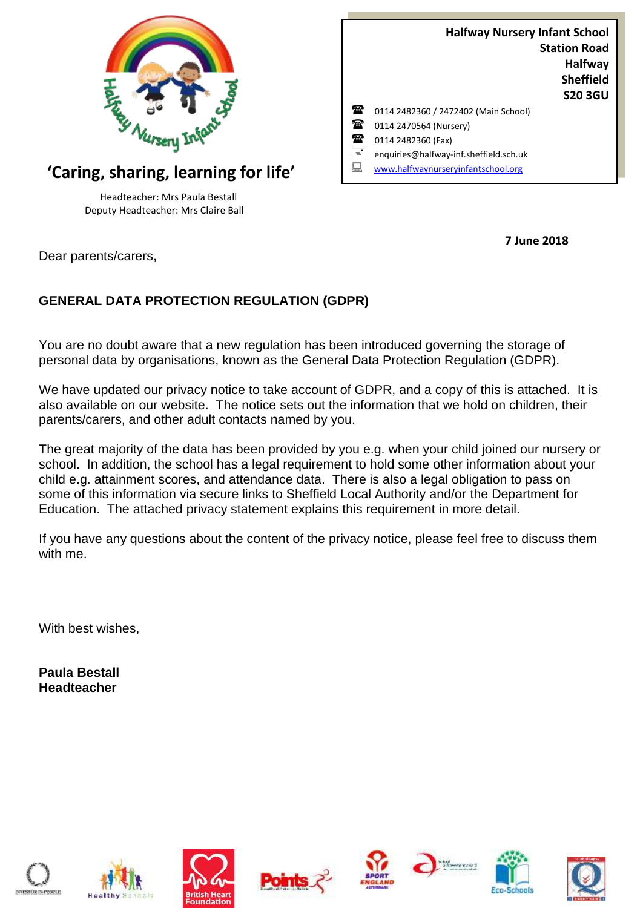

# **'Caring, sharing, learning for life'**

Headteacher: Mrs Paula Bestall Deputy Headteacher: Mrs Claire Ball

|   | <b>Halfway Nursery Infant School</b>   |                     |
|---|----------------------------------------|---------------------|
|   |                                        | <b>Station Road</b> |
|   |                                        | <b>Halfway</b>      |
|   |                                        | <b>Sheffield</b>    |
|   |                                        | <b>S20 3GU</b>      |
| Ж | 0114 2482360 / 2472402 (Main School)   |                     |
| Ŧ | 0114 2470564 (Nursery)                 |                     |
| 承 | 0114 2482360 (Fax)                     |                     |
| E | enquiries@halfway-inf.sheffield.sch.uk |                     |
|   | www.halfwaynurseryinfantschool.org     |                     |

**7 June 2018**

Dear parents/carers,

# **GENERAL DATA PROTECTION REGULATION (GDPR)**

You are no doubt aware that a new regulation has been introduced governing the storage of personal data by organisations, known as the General Data Protection Regulation (GDPR).

We have updated our privacy notice to take account of GDPR, and a copy of this is attached. It is also available on our website. The notice sets out the information that we hold on children, their parents/carers, and other adult contacts named by you.

The great majority of the data has been provided by you e.g. when your child joined our nursery or school. In addition, the school has a legal requirement to hold some other information about your child e.g. attainment scores, and attendance data. There is also a legal obligation to pass on some of this information via secure links to Sheffield Local Authority and/or the Department for Education. The attached privacy statement explains this requirement in more detail.

If you have any questions about the content of the privacy notice, please feel free to discuss them with me.

With best wishes,

**Paula Bestall Headteacher**















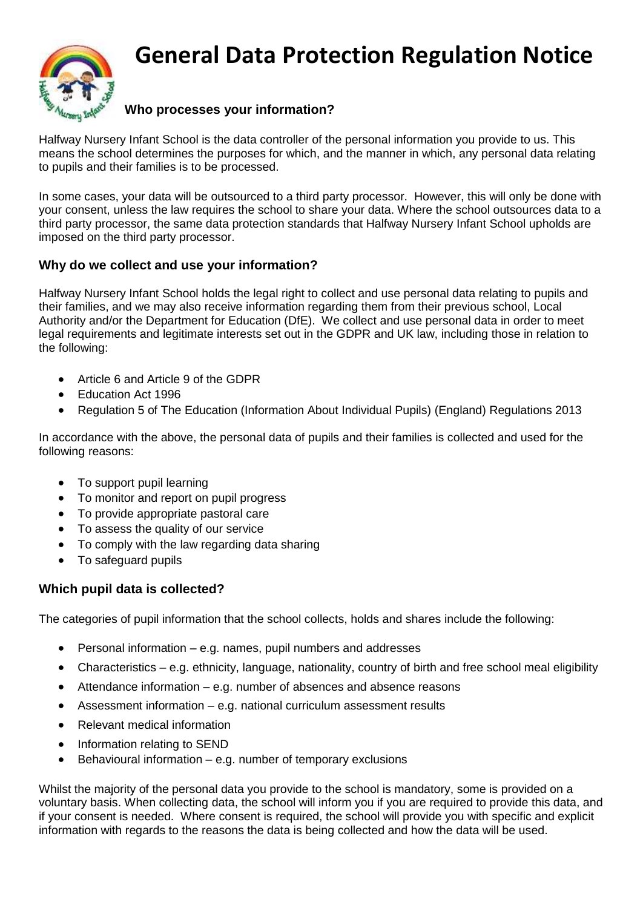

# **General Data Protection Regulation Notice**

# **Who processes your information?**

Halfway Nursery Infant School is the data controller of the personal information you provide to us. This means the school determines the purposes for which, and the manner in which, any personal data relating to pupils and their families is to be processed.

In some cases, your data will be outsourced to a third party processor. However, this will only be done with your consent, unless the law requires the school to share your data. Where the school outsources data to a third party processor, the same data protection standards that Halfway Nursery Infant School upholds are imposed on the third party processor.

## **Why do we collect and use your information?**

Halfway Nursery Infant School holds the legal right to collect and use personal data relating to pupils and their families, and we may also receive information regarding them from their previous school, Local Authority and/or the Department for Education (DfE). We collect and use personal data in order to meet legal requirements and legitimate interests set out in the GDPR and UK law, including those in relation to the following:

- Article 6 and Article 9 of the GDPR
- Education Act 1996
- Regulation 5 of The Education (Information About Individual Pupils) (England) Regulations 2013

In accordance with the above, the personal data of pupils and their families is collected and used for the following reasons:

- To support pupil learning
- To monitor and report on pupil progress
- To provide appropriate pastoral care
- To assess the quality of our service
- To comply with the law regarding data sharing
- To safeguard pupils

#### **Which pupil data is collected?**

The categories of pupil information that the school collects, holds and shares include the following:

- Personal information e.g. names, pupil numbers and addresses
- Characteristics e.g. ethnicity, language, nationality, country of birth and free school meal eligibility
- Attendance information e.g. number of absences and absence reasons
- Assessment information e.g. national curriculum assessment results
- Relevant medical information
- Information relating to SEND
- Behavioural information e.g. number of temporary exclusions

Whilst the majority of the personal data you provide to the school is mandatory, some is provided on a voluntary basis. When collecting data, the school will inform you if you are required to provide this data, and if your consent is needed. Where consent is required, the school will provide you with specific and explicit information with regards to the reasons the data is being collected and how the data will be used.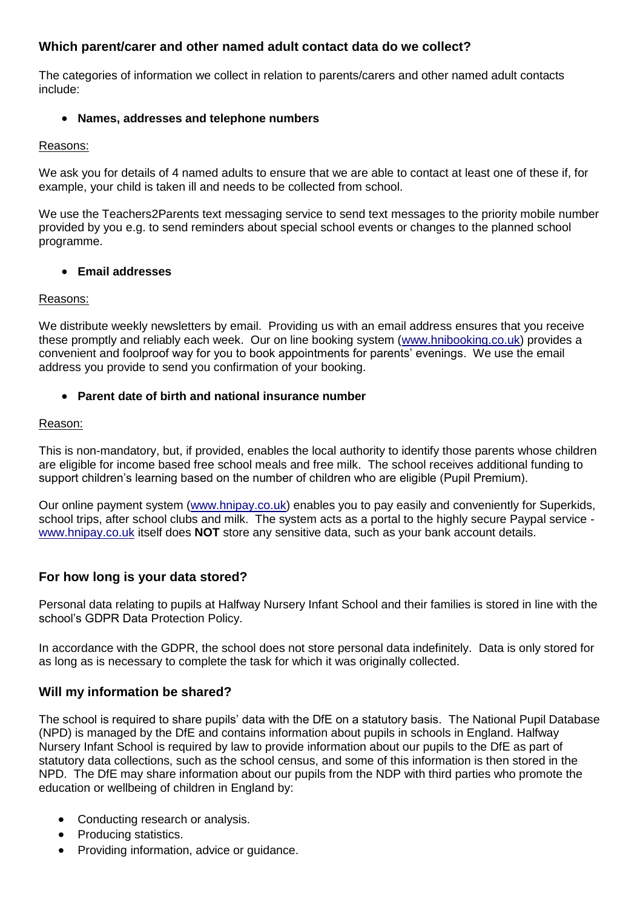## **Which parent/carer and other named adult contact data do we collect?**

The categories of information we collect in relation to parents/carers and other named adult contacts include:

#### **Names, addresses and telephone numbers**

#### Reasons:

We ask you for details of 4 named adults to ensure that we are able to contact at least one of these if, for example, your child is taken ill and needs to be collected from school.

We use the Teachers2Parents text messaging service to send text messages to the priority mobile number provided by you e.g. to send reminders about special school events or changes to the planned school programme.

#### **Email addresses**

#### Reasons:

We distribute weekly newsletters by email. Providing us with an email address ensures that you receive these promptly and reliably each week. Our on line booking system [\(www.hnibooking.co.uk\)](http://www.hnibooking.co.uk/) provides a convenient and foolproof way for you to book appointments for parents' evenings. We use the email address you provide to send you confirmation of your booking.

#### **Parent date of birth and national insurance number**

#### Reason:

This is non-mandatory, but, if provided, enables the local authority to identify those parents whose children are eligible for income based free school meals and free milk. The school receives additional funding to support children's learning based on the number of children who are eligible (Pupil Premium).

Our online payment system [\(www.hnipay.co.uk\)](http://www.hnipay.co.uk/) enables you to pay easily and conveniently for Superkids, school trips, after school clubs and milk. The system acts as a portal to the highly secure Paypal service [www.hnipay.co.uk](http://www.hnipay.co.uk/) itself does **NOT** store any sensitive data, such as your bank account details.

# **For how long is your data stored?**

Personal data relating to pupils at Halfway Nursery Infant School and their families is stored in line with the school's GDPR Data Protection Policy.

In accordance with the GDPR, the school does not store personal data indefinitely. Data is only stored for as long as is necessary to complete the task for which it was originally collected.

#### **Will my information be shared?**

The school is required to share pupils' data with the DfE on a statutory basis. The National Pupil Database (NPD) is managed by the DfE and contains information about pupils in schools in England. Halfway Nursery Infant School is required by law to provide information about our pupils to the DfE as part of statutory data collections, such as the school census, and some of this information is then stored in the NPD. The DfE may share information about our pupils from the NDP with third parties who promote the education or wellbeing of children in England by:

- Conducting research or analysis.
- Producing statistics.
- Providing information, advice or guidance.